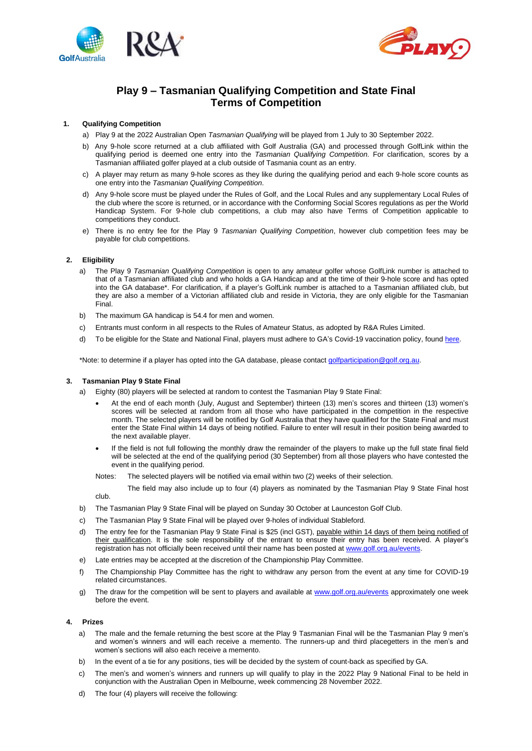



# **Play 9 – Tasmanian Qualifying Competition and State Final Terms of Competition**

# **1. Qualifying Competition**

- a) Play 9 at the 2022 Australian Open *Tasmanian Qualifying* will be played from 1 July to 30 September 2022.
- b) Any 9-hole score returned at a club affiliated with Golf Australia (GA) and processed through GolfLink within the qualifying period is deemed one entry into the *Tasmanian Qualifying Competition*. For clarification, scores by a Tasmanian affiliated golfer played at a club outside of Tasmania count as an entry.
- c) A player may return as many 9-hole scores as they like during the qualifying period and each 9-hole score counts as one entry into the *Tasmanian Qualifying Competition*.
- d) Any 9-hole score must be played under the Rules of Golf, and the Local Rules and any supplementary Local Rules of the club where the score is returned, or in accordance with the Conforming Social Scores regulations as per the World Handicap System. For 9-hole club competitions, a club may also have Terms of Competition applicable to competitions they conduct.
- e) There is no entry fee for the Play 9 *Tasmanian Qualifying Competition*, however club competition fees may be payable for club competitions.

# **2. Eligibility**

- a) The Play 9 *Tasmanian Qualifying Competition* is open to any amateur golfer whose GolfLink number is attached to that of a Tasmanian affiliated club and who holds a GA Handicap and at the time of their 9-hole score and has opted into the GA database\*. For clarification, if a player's GolfLink number is attached to a Tasmanian affiliated club, but they are also a member of a Victorian affiliated club and reside in Victoria, they are only eligible for the Tasmanian Final.
- b) The maximum GA handicap is 54.4 for men and women.
- c) Entrants must conform in all respects to the Rules of Amateur Status, as adopted by R&A Rules Limited.
- d) To be eligible for the State and National Final, players must adhere to GA's Covid-19 vaccination policy, foun[d here.](https://www.golf.org.au/events-statement)

\*Note: to determine if a player has opted into the GA database, please contac[t golfparticipation@golf.org.au.](mailto:golfparticipation@golf.org.au)

# **3. Tasmanian Play 9 State Final**

- a) Eighty (80) players will be selected at random to contest the Tasmanian Play 9 State Final:
	- At the end of each month (July, August and September) thirteen (13) men's scores and thirteen (13) women's scores will be selected at random from all those who have participated in the competition in the respective month. The selected players will be notified by Golf Australia that they have qualified for the State Final and must enter the State Final within 14 days of being notified. Failure to enter will result in their position being awarded to the next available player.
	- If the field is not full following the monthly draw the remainder of the players to make up the full state final field will be selected at the end of the qualifying period (30 September) from all those players who have contested the event in the qualifying period.
	- Notes: The selected players will be notified via email within two (2) weeks of their selection.

The field may also include up to four (4) players as nominated by the Tasmanian Play 9 State Final host club.

- b) The Tasmanian Play 9 State Final will be played on Sunday 30 October at Launceston Golf Club.
- c) The Tasmanian Play 9 State Final will be played over 9-holes of individual Stableford.
- d) The entry fee for the Tasmanian Play 9 State Final is \$25 (incl GST), payable within 14 days of them being notified of their qualification. It is the sole responsibility of the entrant to ensure their entry has been received. A player's registration has not officially been received until their name has been posted a[t www.golf.org.au/](http://www.golf.org.au/)events.
- e) Late entries may be accepted at the discretion of the Championship Play Committee.
- f) The Championship Play Committee has the right to withdraw any person from the event at any time for COVID-19 related circumstances.
- g) The draw for the competition will be sent to players and available at [www.golf.org.au/events](http://www.golf.org.au/events) approximately one week before the event.

# **4. Prizes**

- a) The male and the female returning the best score at the Play 9 Tasmanian Final will be the Tasmanian Play 9 men's and women's winners and will each receive a memento. The runners-up and third placegetters in the men's and women's sections will also each receive a memento.
- b) In the event of a tie for any positions, ties will be decided by the system of count-back as specified by GA.
- c) The men's and women's winners and runners up will qualify to play in the 2022 Play 9 National Final to be held in conjunction with the Australian Open in Melbourne, week commencing 28 November 2022.
- d) The four (4) players will receive the following: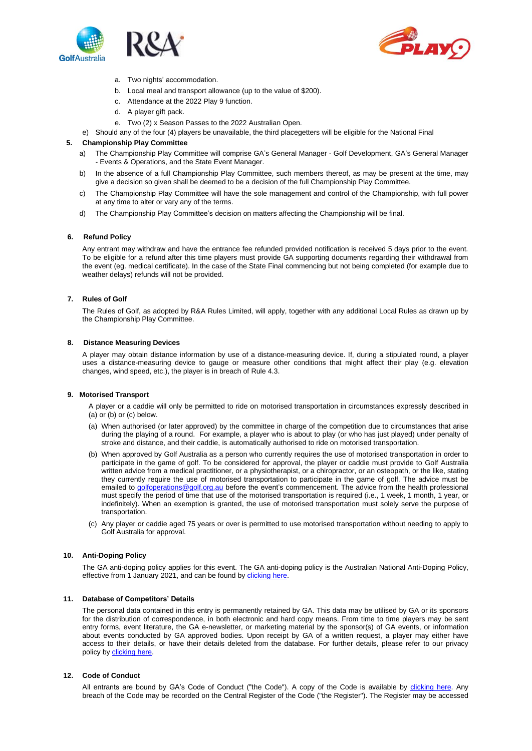



- a. Two nights' accommodation.
- b. Local meal and transport allowance (up to the value of \$200).
- c. Attendance at the 2022 Play 9 function.
- d. A player gift pack.
- e. Two (2) x Season Passes to the 2022 Australian Open.
- e) Should any of the four (4) players be unavailable, the third placegetters will be eligible for the National Final

### **5. Championship Play Committee**

- a) The Championship Play Committee will comprise GA's General Manager Golf Development, GA's General Manager - Events & Operations, and the State Event Manager.
- b) In the absence of a full Championship Play Committee, such members thereof, as may be present at the time, may give a decision so given shall be deemed to be a decision of the full Championship Play Committee.
- c) The Championship Play Committee will have the sole management and control of the Championship, with full power at any time to alter or vary any of the terms.
- d) The Championship Play Committee's decision on matters affecting the Championship will be final.

#### **6. Refund Policy**

Any entrant may withdraw and have the entrance fee refunded provided notification is received 5 days prior to the event. To be eligible for a refund after this time players must provide GA supporting documents regarding their withdrawal from the event (eg. medical certificate). In the case of the State Final commencing but not being completed (for example due to weather delays) refunds will not be provided.

# **7. Rules of Golf**

The Rules of Golf, as adopted by R&A Rules Limited, will apply, together with any additional Local Rules as drawn up by the Championship Play Committee.

#### **8. Distance Measuring Devices**

A player may obtain distance information by use of a distance-measuring device. If, during a stipulated round, a player uses a distance-measuring device to gauge or measure other conditions that might affect their play (e.g. elevation changes, wind speed, etc.), the player is in breach of Rule 4.3.

#### **9. Motorised Transport**

A player or a caddie will only be permitted to ride on motorised transportation in circumstances expressly described in (a) or (b) or (c) below.

- (a) When authorised (or later approved) by the committee in charge of the competition due to circumstances that arise during the playing of a round. For example, a player who is about to play (or who has just played) under penalty of stroke and distance, and their caddie, is automatically authorised to ride on motorised transportation.
- (b) When approved by Golf Australia as a person who currently requires the use of motorised transportation in order to participate in the game of golf. To be considered for approval, the player or caddie must provide to Golf Australia written advice from a medical practitioner, or a physiotherapist, or a chiropractor, or an osteopath, or the like, stating they currently require the use of motorised transportation to participate in the game of golf. The advice must be emailed t[o golfoperations@golf.org.au](mailto:golfoperations@golf.org.au) before the event's commencement. The advice from the health professional must specify the period of time that use of the motorised transportation is required (i.e., 1 week, 1 month, 1 year, or indefinitely). When an exemption is granted, the use of motorised transportation must solely serve the purpose of transportation.
- (c) Any player or caddie aged 75 years or over is permitted to use motorised transportation without needing to apply to Golf Australia for approval.

### **10. Anti-Doping Policy**

The GA anti-doping policy applies for this event. The GA anti-doping policy is the Australian National Anti-Doping Policy, effective from 1 January 2021, and can be found by [clicking here.](https://www.golf.org.au/competitionpolicies)

# **11. Database of Competitors' Details**

The personal data contained in this entry is permanently retained by GA. This data may be utilised by GA or its sponsors for the distribution of correspondence, in both electronic and hard copy means. From time to time players may be sent entry forms, event literature, the GA e-newsletter, or marketing material by the sponsor(s) of GA events, or information about events conducted by GA approved bodies. Upon receipt by GA of a written request, a player may either have access to their details, or have their details deleted from the database. For further details, please refer to our privacy policy b[y clicking](https://www.golf.org.au/privacy-policy/) here.

### **12. Code of Conduct**

All entrants are bound by GA's Code of Conduct ("the Code"). A copy of the Code is available by [clicking here.](https://assets.ctfassets.net/3urhge2ecl20/40SKEhoS0SF0a3OfM1Qfgl/48333db9e79062de3b380902b397b698/00040015-source.pdf) Any breach of the Code may be recorded on the Central Register of the Code ("the Register"). The Register may be accessed